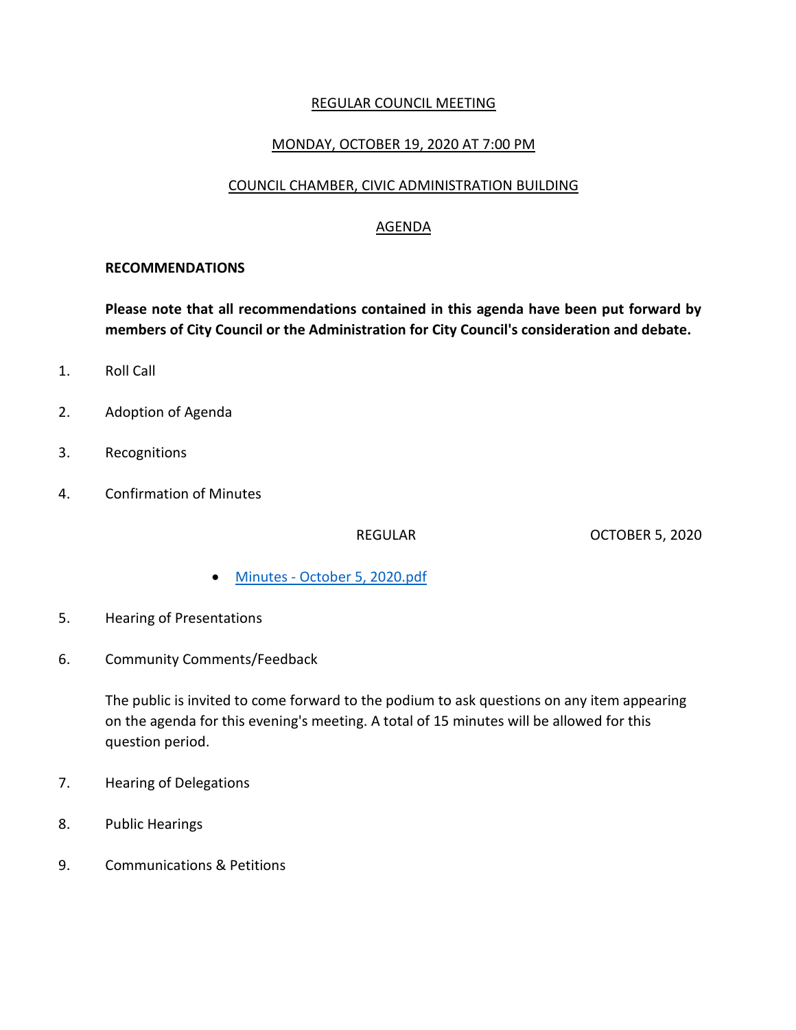## REGULAR COUNCIL MEETING

# MONDAY, OCTOBER 19, 2020 AT 7:00 PM

## COUNCIL CHAMBER, CIVIC ADMINISTRATION BUILDING

#### AGENDA

#### **RECOMMENDATIONS**

**Please note that all recommendations contained in this agenda have been put forward by members of City Council or the Administration for City Council's consideration and debate.**

- 1. Roll Call
- 2. Adoption of Agenda
- 3. Recognitions
- 4. Confirmation of Minutes

REGULAR OCTOBER 5, 2020

- Minutes [October 5, 2020.pdf](https://paperlesscouncil.brandon.ca/attachments/A_2020/COM_NATALVNSSMBFKSBZJZHSJSCWMKUAKQPPPYASOEEEIYAZHAUOOUU_Minutes%20-%20October%205,%202020.pdf)
- 5. Hearing of Presentations
- 6. Community Comments/Feedback

The public is invited to come forward to the podium to ask questions on any item appearing on the agenda for this evening's meeting. A total of 15 minutes will be allowed for this question period.

- 7. Hearing of Delegations
- 8. Public Hearings
- 9. Communications & Petitions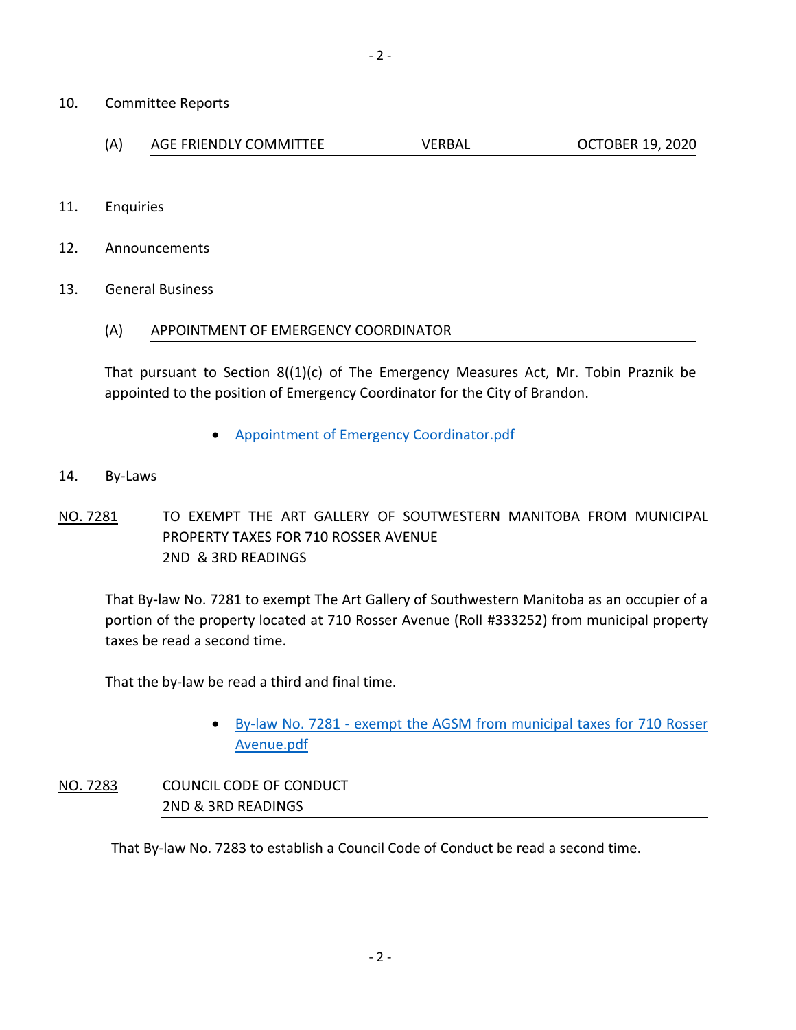- 10. Committee Reports
	- (A) AGE FRIENDLY COMMITTEE VERBAL OCTOBER 19, 2020
- 11. Enquiries
- 12. Announcements
- 13. General Business
	- (A) APPOINTMENT OF EMERGENCY COORDINATOR

That pursuant to Section 8((1)(c) of The Emergency Measures Act, Mr. Tobin Praznik be appointed to the position of Emergency Coordinator for the City of Brandon.

- [Appointment of Emergency Coordinator.pdf](https://paperlesscouncil.brandon.ca/attachments/A_2020/GEN_GFKGVYJKOJGLGLYNZJWVNEILEOCDWPLPMUULHIMDLKGGZDTKPPH_Appointment%20of%20Emergency%20Coordinator.pdf)
- 14. By-Laws
- NO. 7281 TO EXEMPT THE ART GALLERY OF SOUTWESTERN MANITOBA FROM MUNICIPAL PROPERTY TAXES FOR 710 ROSSER AVENUE 2ND & 3RD READINGS

That By-law No. 7281 to exempt The Art Gallery of Southwestern Manitoba as an occupier of a portion of the property located at 710 Rosser Avenue (Roll #333252) from municipal property taxes be read a second time.

That the by-law be read a third and final time.

- By-law No. 7281 [exempt the AGSM from municipal taxes for 710 Rosser](https://paperlesscouncil.brandon.ca/attachments/A_2020/BYL_UYASBCUSFNYYVMQUZSVLNQDQGUQJIGJHJDJKMFHSKODFYEGXHCV_By-law%20No.%207281%20-%20exempt%20the%20AGSM%20from%20municipal%20taxes%20for%20710%20Rosser%20Avenue.pdf)  [Avenue.pdf](https://paperlesscouncil.brandon.ca/attachments/A_2020/BYL_UYASBCUSFNYYVMQUZSVLNQDQGUQJIGJHJDJKMFHSKODFYEGXHCV_By-law%20No.%207281%20-%20exempt%20the%20AGSM%20from%20municipal%20taxes%20for%20710%20Rosser%20Avenue.pdf)
- NO. 7283 COUNCIL CODE OF CONDUCT 2ND & 3RD READINGS

That By-law No. 7283 to establish a Council Code of Conduct be read a second time.